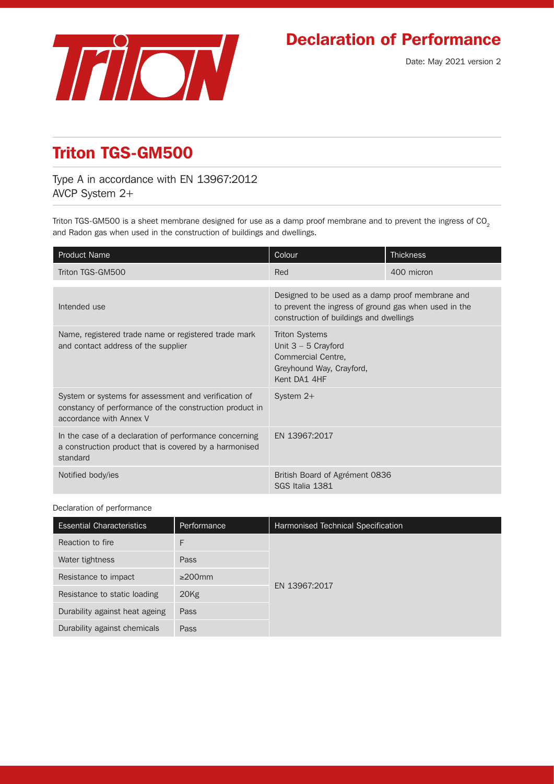

## Declaration of Performance

## Triton TGS-GM500

Type A in accordance with EN 13967:2012 AVCP System 2+

Triton TGS-GM500 is a sheet membrane designed for use as a damp proof membrane and to prevent the ingress of CO<sub>2</sub> and Radon gas when used in the construction of buildings and dwellings.

| <b>Product Name</b>                                                                                                                        | Colour                                                                                                                                               | <b>Thickness</b> |
|--------------------------------------------------------------------------------------------------------------------------------------------|------------------------------------------------------------------------------------------------------------------------------------------------------|------------------|
| Triton TGS-GM500                                                                                                                           | Red                                                                                                                                                  | 400 micron       |
| Intended use                                                                                                                               | Designed to be used as a damp proof membrane and<br>to prevent the ingress of ground gas when used in the<br>construction of buildings and dwellings |                  |
| Name, registered trade name or registered trade mark<br>and contact address of the supplier                                                | <b>Triton Systems</b><br>Unit $3 - 5$ Crayford<br>Commercial Centre,<br>Greyhound Way, Crayford,<br>Kent DA1 4HF                                     |                  |
| System or systems for assessment and verification of<br>constancy of performance of the construction product in<br>accordance with Annex V | System $2+$                                                                                                                                          |                  |
| In the case of a declaration of performance concerning<br>a construction product that is covered by a harmonised<br>standard               | EN 13967:2017                                                                                                                                        |                  |
| Notified body/ies                                                                                                                          | British Board of Agrément 0836<br>SGS Italia 1381                                                                                                    |                  |

## Declaration of performance

| <b>Essential Characteristics</b> | Performance  | Harmonised Technical Specification |  |
|----------------------------------|--------------|------------------------------------|--|
| Reaction to fire                 | F            |                                    |  |
| Water tightness                  | Pass         |                                    |  |
| Resistance to impact             | $\geq$ 200mm |                                    |  |
| Resistance to static loading     | 20Kg         | EN 13967:2017                      |  |
| Durability against heat ageing   | Pass         |                                    |  |
| Durability against chemicals     | Pass         |                                    |  |